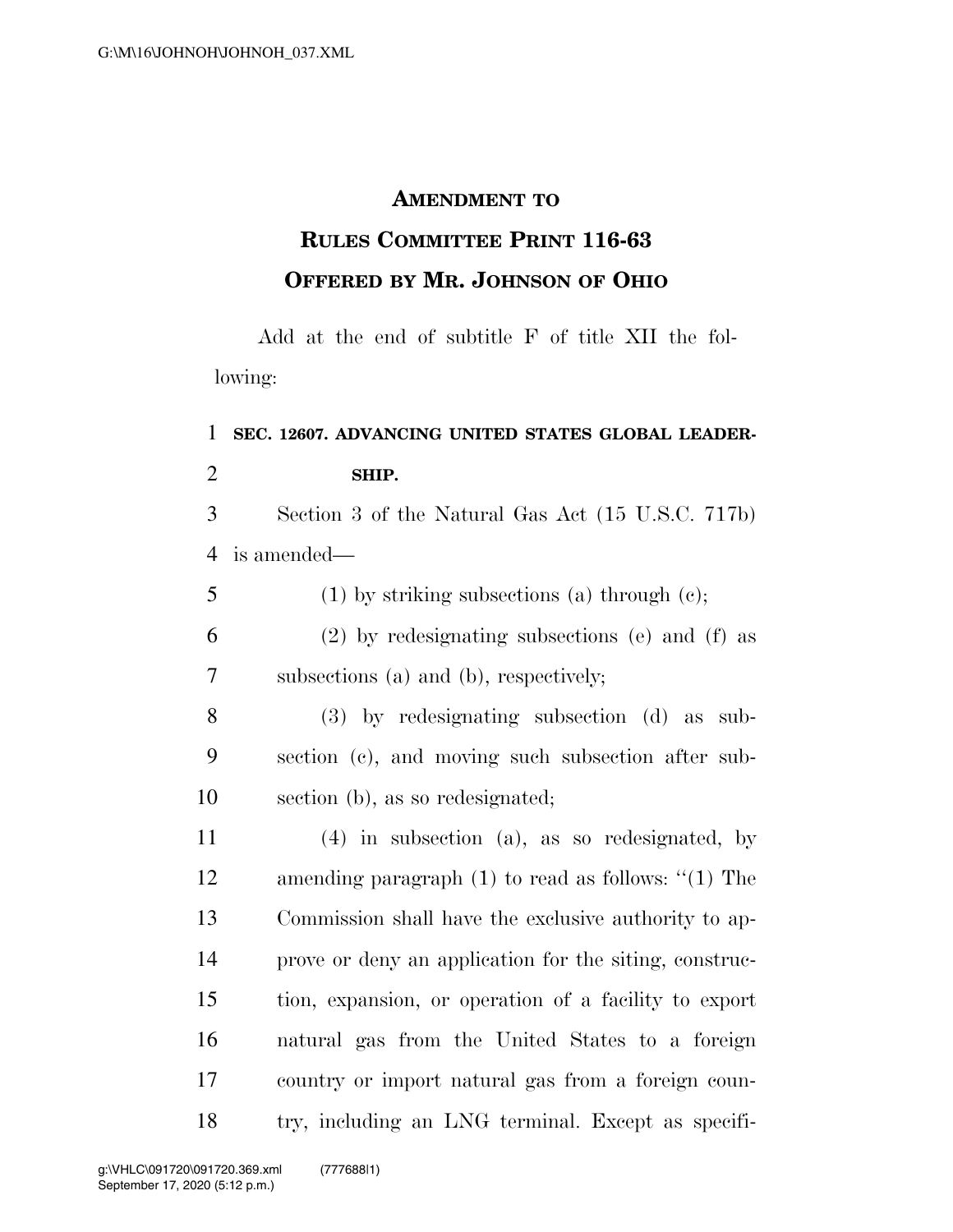## **AMENDMENT TO**

## **RULES COMMITTEE PRINT 116-63 OFFERED BY MR. JOHNSON OF OHIO**

Add at the end of subtitle F of title XII the following:

## **SEC. 12607. ADVANCING UNITED STATES GLOBAL LEADER-SHIP.**

 Section 3 of the Natural Gas Act (15 U.S.C. 717b) is amended—

(1) by striking subsections (a) through (c);

 (2) by redesignating subsections (e) and (f) as subsections (a) and (b), respectively;

 (3) by redesignating subsection (d) as sub- section (c), and moving such subsection after sub-section (b), as so redesignated;

 (4) in subsection (a), as so redesignated, by amending paragraph (1) to read as follows: ''(1) The Commission shall have the exclusive authority to ap- prove or deny an application for the siting, construc- tion, expansion, or operation of a facility to export natural gas from the United States to a foreign country or import natural gas from a foreign coun-try, including an LNG terminal. Except as specifi